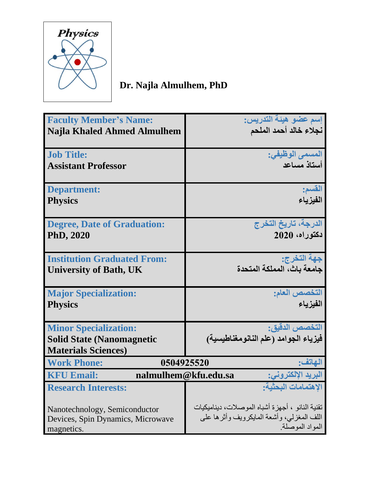

## **Dr. Najla Almulhem, PhD**

| <b>Faculty Member's Name:</b>                                   | إسم عضو هيئة التدريس:                           |
|-----------------------------------------------------------------|-------------------------------------------------|
|                                                                 | نجلاء خالد أحمد الملحم                          |
| <b>Najla Khaled Ahmed Almulhem</b>                              |                                                 |
|                                                                 |                                                 |
| <b>Job Title:</b>                                               | المسمى الوظيفى:                                 |
|                                                                 |                                                 |
| <b>Assistant Professor</b>                                      | أستاذ مساعد                                     |
|                                                                 |                                                 |
| <b>Department:</b>                                              | القسم:                                          |
|                                                                 |                                                 |
| <b>Physics</b>                                                  | الفيز ياء                                       |
|                                                                 |                                                 |
| <b>Degree, Date of Graduation:</b>                              | الدرجة، تاريخ التخرج                            |
| <b>PhD, 2020</b>                                                | دكتوراه، 2020                                   |
|                                                                 |                                                 |
|                                                                 |                                                 |
| <b>Institution Graduated From:</b>                              |                                                 |
|                                                                 | جهة التخرج:<br>جامعة باث، المملكة المتحدة       |
| <b>University of Bath, UK</b>                                   |                                                 |
|                                                                 |                                                 |
| <b>Major Specialization:</b>                                    | التخصص العام:                                   |
| <b>Physics</b>                                                  | الفيز ياع                                       |
|                                                                 |                                                 |
|                                                                 |                                                 |
| <b>Minor Specialization:</b>                                    | التخصص الدقيق:                                  |
| <b>Solid State (Nanomagnetic</b>                                | فيزياء الجوامد (علم النانومغناطيسية)            |
| <b>Materials Sciences)</b>                                      |                                                 |
|                                                                 |                                                 |
| 0504925520<br><b>Work Phone:</b>                                | الماتف:                                         |
| البريد الإلكتروني:<br><b>KFU Email:</b><br>nalmulhem@kfu.edu.sa |                                                 |
| <b>Research Interests:</b>                                      | الاهتمامات البحثية:                             |
|                                                                 |                                                 |
|                                                                 | تقنية النانو ، أجهزة أشباه الموصلات، ديناميكيات |
| Nanotechnology, Semiconductor                                   |                                                 |
| Devices, Spin Dynamics, Microwave                               | اللف المغزلي، وأشعة المايكرويف وأثرها على       |
| magnetics.                                                      | المواد الموصلة.                                 |